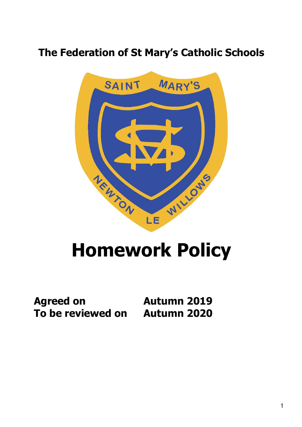# **The Federation of St Mary's Catholic Schools**



# **Homework Policy**

**Agreed on Autumn 2019 To be reviewed on Autumn 2020**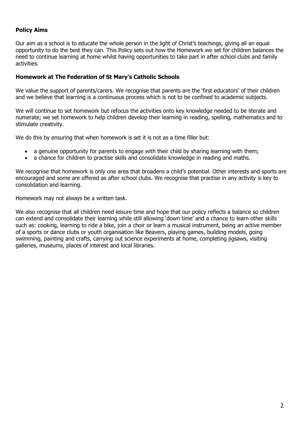### **Policy Aims**

Our aim as a school is to educate the whole person in the light of Christ's teachings, giving all an equal opportunity to do the best they can. This Policy sets out how the Homework we set for children balances the need to continue learning at home whilst having opportunities to take part in after school clubs and family activities.

#### **Homework at The Federation of St Mary's Catholic Schools**

We value the support of parents/carers. We recognise that parents are the 'first educators' of their children and we believe that learning is a continuous process which is not to be confined to academic subjects.

We will continue to set homework but refocus the activities onto key knowledge needed to be literate and numerate; we set homework to help children develop their learning in reading, spelling, mathematics and to stimulate creativity.

We do this by ensuring that when homework is set it is not as a time filler but:

- a genuine opportunity for parents to engage with their child by sharing learning with them;
- a chance for children to practise skills and consolidate knowledge in reading and maths.

We recognise that homework is only one area that broadens a child's potential. Other interests and sports are encouraged and some are offered as after school clubs. We recognise that practise in any activity is key to consolidation and learning.

Homework may not always be a written task.

We also recognise that all children need leisure time and hope that our policy reflects a balance so children can extend and consolidate their learning while still allowing 'down time' and a chance to learn other skills such as: cooking, learning to ride a bike, join a choir or learn a musical instrument, being an active member of a sports or dance clubs or youth organisation like Beavers, playing games, building models, going swimming, painting and crafts, carrying out science experiments at home, completing jigsaws, visiting galleries, museums, places of interest and local libraries.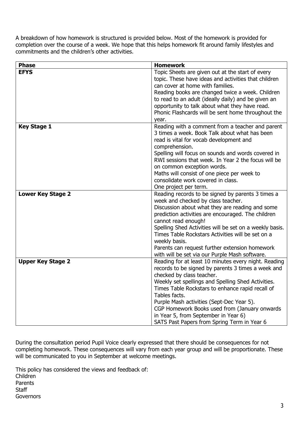A breakdown of how homework is structured is provided below. Most of the homework is provided for completion over the course of a week. We hope that this helps homework fit around family lifestyles and commitments and the children's other activities.

| <b>Phase</b>             | <b>Homework</b>                                                                   |
|--------------------------|-----------------------------------------------------------------------------------|
| <b>EFYS</b>              | Topic Sheets are given out at the start of every                                  |
|                          | topic. These have ideas and activities that children                              |
|                          | can cover at home with families.                                                  |
|                          | Reading books are changed twice a week. Children                                  |
|                          | to read to an adult (ideally daily) and be given an                               |
|                          | opportunity to talk about what they have read.                                    |
|                          | Phonic Flashcards will be sent home throughout the                                |
|                          | year.                                                                             |
| <b>Key Stage 1</b>       | Reading with a comment from a teacher and parent                                  |
|                          | 3 times a week. Book Talk about what has been                                     |
|                          | read is vital for vocab development and                                           |
|                          | comprehension.                                                                    |
|                          | Spelling will focus on sounds and words covered in                                |
|                          | RWI sessions that week. In Year 2 the focus will be                               |
|                          | on common exception words.                                                        |
|                          | Maths will consist of one piece per week to<br>consolidate work covered in class. |
|                          |                                                                                   |
| <b>Lower Key Stage 2</b> | One project per term.<br>Reading records to be signed by parents 3 times a        |
|                          | week and checked by class teacher.                                                |
|                          | Discussion about what they are reading and some                                   |
|                          | prediction activities are encouraged. The children                                |
|                          | cannot read enough!                                                               |
|                          | Spelling Shed Activities will be set on a weekly basis.                           |
|                          | Times Table Rockstars Activities will be set on a                                 |
|                          | weekly basis.                                                                     |
|                          | Parents can request further extension homework                                    |
|                          | with will be set via our Purple Mash software.                                    |
| <b>Upper Key Stage 2</b> | Reading for at least 10 minutes every night. Reading                              |
|                          | records to be signed by parents 3 times a week and                                |
|                          | checked by class teacher.                                                         |
|                          | Weekly set spellings and Spelling Shed Activities.                                |
|                          | Times Table Rockstars to enhance rapid recall of                                  |
|                          | Tables facts.                                                                     |
|                          | Purple Mash activities (Sept-Dec Year 5).                                         |
|                          | CGP Homework Books used from (January onwards                                     |
|                          | in Year 5, from September in Year 6)                                              |
|                          | SATS Past Papers from Spring Term in Year 6                                       |

During the consultation period Pupil Voice clearly expressed that there should be consequences for not completing homework. These consequences will vary from each year group and will be proportionate. These will be communicated to you in September at welcome meetings.

This policy has considered the views and feedback of: Children Parents **Staff Governors**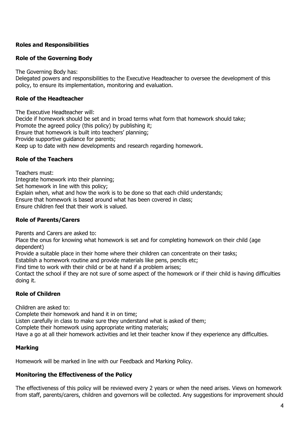## **Roles and Responsibilities**

#### **Role of the Governing Body**

The Governing Body has:

Delegated powers and responsibilities to the Executive Headteacher to oversee the development of this policy, to ensure its implementation, monitoring and evaluation.

#### **Role of the Headteacher**

The Executive Headteacher will: Decide if homework should be set and in broad terms what form that homework should take; Promote the agreed policy (this policy) by publishing it; Ensure that homework is built into teachers' planning; Provide supportive guidance for parents; Keep up to date with new developments and research regarding homework.

#### **Role of the Teachers**

Teachers must: Integrate homework into their planning; Set homework in line with this policy; Explain when, what and how the work is to be done so that each child understands; Ensure that homework is based around what has been covered in class; Ensure children feel that their work is valued.

#### **Role of Parents/Carers**

Parents and Carers are asked to:

Place the onus for knowing what homework is set and for completing homework on their child (age dependent)

Provide a suitable place in their home where their children can concentrate on their tasks;

Establish a homework routine and provide materials like pens, pencils etc;

Find time to work with their child or be at hand if a problem arises;

Contact the school if they are not sure of some aspect of the homework or if their child is having difficulties doing it.

#### **Role of Children**

Children are asked to:

Complete their homework and hand it in on time;

Listen carefully in class to make sure they understand what is asked of them;

Complete their homework using appropriate writing materials;

Have a go at all their homework activities and let their teacher know if they experience any difficulties.

#### **Marking**

Homework will be marked in line with our Feedback and Marking Policy.

#### **Monitoring the Effectiveness of the Policy**

The effectiveness of this policy will be reviewed every 2 years or when the need arises. Views on homework from staff, parents/carers, children and governors will be collected. Any suggestions for improvement should